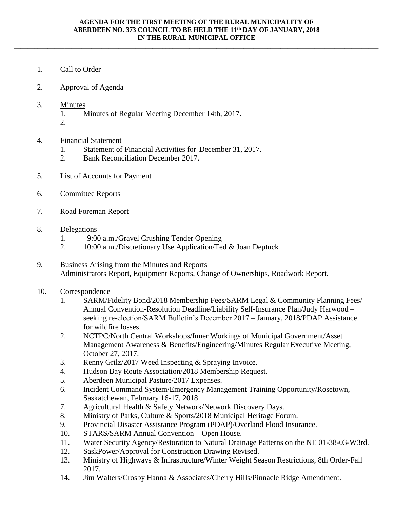\_\_\_\_\_\_\_\_\_\_\_\_\_\_\_\_\_\_\_\_\_\_\_\_\_\_\_\_\_\_\_\_\_\_\_\_\_\_\_\_\_\_\_\_\_\_\_\_\_\_\_\_\_\_\_\_\_\_\_\_\_\_\_\_\_\_\_\_\_\_\_\_\_\_\_\_\_\_\_\_\_\_\_\_\_\_\_\_\_\_\_\_\_\_\_\_\_\_\_\_\_\_\_\_\_\_\_\_

- 1. Call to Order
- 2. Approval of Agenda
- 3. Minutes
	- 1. Minutes of Regular Meeting December 14th, 2017.
	- 2.

## 4. Financial Statement

- 1. Statement of Financial Activities for December 31, 2017.
- 2. Bank Reconciliation December 2017.
- 5. List of Accounts for Payment
- 6. Committee Reports
- 7. Road Foreman Report

## 8. Delegations

- 1. 9:00 a.m./Gravel Crushing Tender Opening
- 2. 10:00 a.m./Discretionary Use Application/Ted & Joan Deptuck
- 9. Business Arising from the Minutes and Reports Administrators Report, Equipment Reports, Change of Ownerships, Roadwork Report.

## 10. Correspondence

- 1. SARM/Fidelity Bond/2018 Membership Fees/SARM Legal & Community Planning Fees/ Annual Convention-Resolution Deadline/Liability Self-Insurance Plan/Judy Harwood – seeking re-election/SARM Bulletin's December 2017 – January, 2018/PDAP Assistance for wildfire losses.
- 2. NCTPC/North Central Workshops/Inner Workings of Municipal Government/Asset Management Awareness & Benefits/Engineering/Minutes Regular Executive Meeting, October 27, 2017.
- 3. Renny Grilz/2017 Weed Inspecting & Spraying Invoice.
- 4. Hudson Bay Route Association/2018 Membership Request.
- 5. Aberdeen Municipal Pasture/2017 Expenses.
- 6. Incident Command System/Emergency Management Training Opportunity/Rosetown, Saskatchewan, February 16-17, 2018.
- 7. Agricultural Health & Safety Network/Network Discovery Days.
- 8. Ministry of Parks, Culture & Sports/2018 Municipal Heritage Forum.
- 9. Provincial Disaster Assistance Program (PDAP)/Overland Flood Insurance.
- 10. STARS/SARM Annual Convention Open House.
- 11. Water Security Agency/Restoration to Natural Drainage Patterns on the NE 01-38-03-W3rd.
- 12. SaskPower/Approval for Construction Drawing Revised.
- 13. Ministry of Highways & Infrastructure/Winter Weight Season Restrictions, 8th Order-Fall 2017.
- 14. Jim Walters/Crosby Hanna & Associates/Cherry Hills/Pinnacle Ridge Amendment.